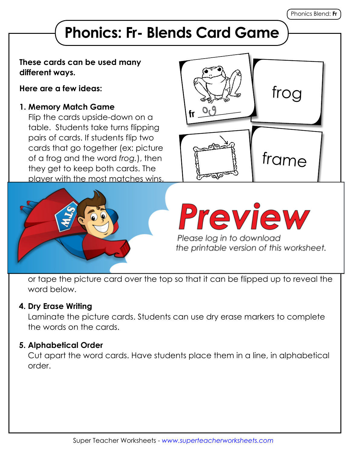# **Phonics: Fr- Blends Card Game**

#### **These cards can be used many different ways.**

**Here are a few ideas:**

### **1. Memory Match Game**

Flip the cards upside-down on a table. Students take turns flipping pairs of cards. If students flip two cards that go together (ex: picture of a frog and the word *frog.*), then they get to keep both cards. The player with the most matches wins.





the printable version of this worksheet.

or tape the picture card over the top so that it can be flipped up to reveal the word below.

#### **4. Dry Erase Writing**

Laminate the picture cards. Students can use dry erase markers to complete the words on the cards.

## **5. Alphabetical Order**

Cut apart the word cards. Have students place them in a line, in alphabetical order.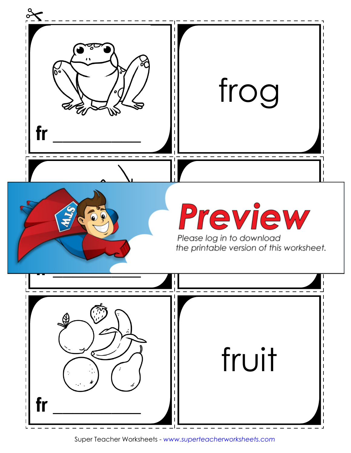

Super Teacher Worksheets - *www.superteacherworksheets.com*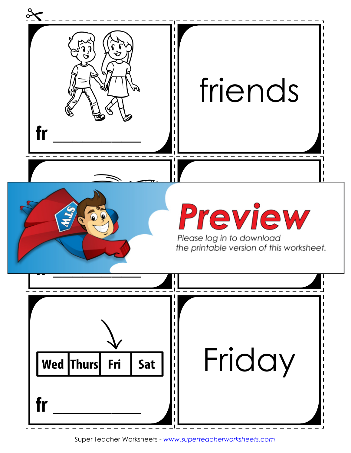

Super Teacher Worksheets - *www.superteacherworksheets.com*